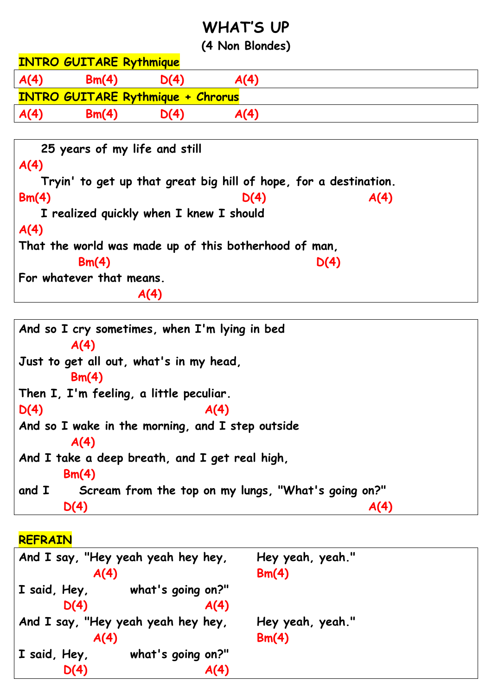## **WHAT'S UP**

**(4 Non Blondes)**

|      | <b>INTRO GUITARE Rythmique</b> |                                          |      |  |
|------|--------------------------------|------------------------------------------|------|--|
| A(4) | Bm(4)                          | D(4)                                     | A(4) |  |
|      |                                | <b>INTRO GUITARE Rythmique + Chrorus</b> |      |  |
|      |                                |                                          |      |  |
| A(4) | Bm(4)                          | D(4)                                     | A(4) |  |

| 25 years of my life and still                                    |      |      |
|------------------------------------------------------------------|------|------|
| A(4)                                                             |      |      |
| Tryin' to get up that great big hill of hope, for a destination. |      |      |
| Bm(4)                                                            | D(4) | A(4) |
| I realized quickly when I knew I should                          |      |      |
| A(4)                                                             |      |      |
| That the world was made up of this botherhood of man,            |      |      |
| Bm(4)                                                            |      | D(4) |
| For whatever that means.                                         |      |      |
|                                                                  |      |      |

```
And so I cry sometimes, when I'm lying in bed
       A(4)
Just to get all out, what's in my head, 
       Bm(4)
Then I, I'm feeling, a little peculiar.
D(4) A(4)
And so I wake in the morning, and I step outside
       A(4)
And I take a deep breath, and I get real high,
      Bm(4)
and I Scream from the top on my lungs, "What's going on?"
      D(4) A(4)
```
**REFRAIN**

|                      | And I say, "Hey yeah yeah hey hey, | Hey yeah, yeah." |  |
|----------------------|------------------------------------|------------------|--|
| A(4)                 |                                    | Bm(4)            |  |
| $\vert$ I said, Hey, | what's going on?"                  |                  |  |
| D(4)                 | A(4)                               |                  |  |
|                      | And I say, "Hey yeah yeah hey hey, | Hey yeah, yeah." |  |
| A(4)                 |                                    | Bm(4)            |  |
| $\vert$ I said, Hey, | what's going on?"                  |                  |  |
| D(4)                 | A(4)                               |                  |  |